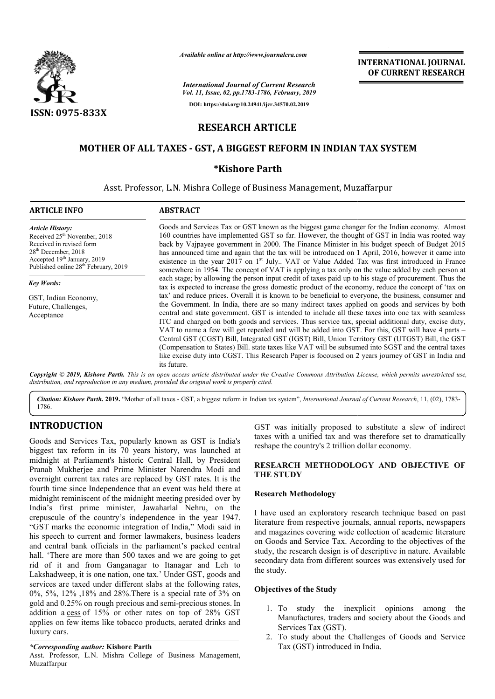

*Available online at http://www.journalcra.com*

*International Journal of Current Research Vol. 11, Issue, 02, pp.1783-1786, February, 2019* **DOI: https://doi.org/10.24941/ijcr.34570.02.2019**

# **INTERNATIONAL JOURNAL OF CURRENT RESEARCH**

# **RESEARCH ARTICLE**

## **MOTHER OF ALL TAXES - GST, A BIGGEST REFORM IN INDIAN TAX SYSTEM TAX SYSTEM**

## **\*Kishore Parth**

Asst. Professor, L.N. Mishra College of Business Management, Muzaffarpur

#### **ARTICLE INFO ABSTRACT**

*Article History:* Received 25<sup>th</sup> November, 2018 Received in revised form 28th December, 2018  $\frac{20}{\text{L}}$  Accepted 19<sup>th</sup> January, 2019 Published online 28<sup>th</sup> February, 2019

*Key Words:*

GST, Indian Economy, Future, Challenges, Acceptance

Goods and Services Tax or GST known as the biggest game changer for the Indian economy. Almost 160 countries have implemented GST so far. However, the thought of GST in India was rooted way back by Vajpayee government in 2000 2000. The Finance Minister in his budget speech of Budget 2015 has announced time and again that the tax will be introduced on 1 April, 2016, however it came into existence in the year 2017 on 1<sup>st</sup> July.. VAT or Value Added Tax was first introduced in France somewhere in 1954. The concept of VAT is applying a tax only on the value added by each person at each stage; by allowing the person input credit of taxes paid up to his stage of procurement. Thus the tax is expected to increase the gross domestic product of the economy, reduce the concept of 'tax on tax' and reduce prices. Overall it is known to be beneficial to everyone, the Government. In India, there are so many indirect taxes applied on goods and services by both central and state government. GST is intended to include all these taxes into one tax with seamless ITC and charged on both goods and services. Thus service tax, special additional duty, excise duty, VAT to name a few will get repealed and will be added into GST. For this, GST will have 4 parts Central GST (CGST) Bill, Integrated GST (IGST) Bill, Union Territory GST (UTGST) Bill, the GST (Compensation to States) Bill. state taxes like VAT will be subsumed into SGST and the central taxes (Compensation to States) Bill. state taxes like VAT will be subsumed into SGST and the central taxes like excise duty into CGST. This Research Paper is focoused on 2 years journey of GST in India and its future. 160 countries have implemented GST so far. However, the thought of GST in India was rooted way back by Vajpayee government in 2000. The Finance Minister in his budget speech of Budget 2015 has announced time and again that the Government. In India, there are so many indirect taxes applied on goods and services by both<br>central and state government. GST is intended to include all these taxes into one tax with seamless<br>ITC and charged on both g **EXEREMATIONAL JOURNAL FORM CONTROL CONTROL SET (SET) (THE SCRIPT (SET) (THE SCRIPT (SET) (THE AND OUT CONTROL CONTROL CONTROL CONTROL CONTROL (THE AND OUT CONTROL CONTROL CONTROL CONTROL (THE AND OUT CONTROL CONTROL CONT** 

Copyright © 2019, Kishore Parth. This is an open access article distributed under the Creative Commons Attribution License, which permits unrestricted use, *distribution, and reproduction in any medium, provided the original work is properly cited.*

*Citation: Kishore Parth.* **2019.** "Mother of all taxes - GST, a biggest reform in Indian tax system", *International Journal of Current Research*, 11, (02), 1783-1786.

## **INTRODUCTION**

Goods and Services Tax, popularly known as GST is India's biggest tax reform in its 70 years history, was launched at midnight at Parliament's historic Central Hall, by President Pranab Mukherjee and Prime Minister Narendra Modi and overnight current tax rates are replaced by GST rates. It is the fourth time since Independence that an event was held there at midnight reminiscent of the midnight meeting presided over by India's first prime minister, Jawaharlal Nehru, on the crepuscule of the country's independence in the year 1947. "GST marks the economic integration of India," Modi said in his speech to current and former lawmakers, business leaders and central bank officials in the parliament's packed central hall. 'There are more than 500 taxes and we are going to get rid of it and from Ganganagar to Itanagar and Leh to Lakshadweep, it is one nation, one tax.' Under GST, goods and services are taxed under different slabs at the following rates, 0%, 5%, 12% ,18% and 28%.There is a special rate of 3% on gold and 0.25% on rough precious and semi-precious stones. In addition a cess of 15% or other rates on top of 28% GST applies on few items like tobacco products, aerated drinks and luxury cars. ates are replaced by v<br>bendence that an ever<br>of the midnight meetin<br>minister, Jawaharla<br>ntry's independence

#### *\*Corresponding author:* **Kishore Parth**

Asst. Professor, L.N. Mishra College of Business Management, Muzaffarpur

GST was initially proposed to substitute a slew of indirect GST was initially proposed to substitute a slew of indirect taxes with a unified tax and was therefore set to dramatically reshape the country's 2 trillion dollar economy.

#### RESEARCH METHODOLOGY AND OBJECTIVE OF **THE STUDY**

### **Research Methodology**

I have used an exploratory research technique based on past literature from respective journals, annual reports, newspapers and magazines covering wide collection of academic literature on Goods and Service Tax. According to the objectives of the study, the research design is of descriptive in nature. Available secondary data from different sources was extensively used for the study.

#### **Objectives of the Study**

- 1. To study the inexplicit opinions among the Manufactures, traders and society about the Goods and Services Tax (GST).
- 2. To study about the Challenges of Goods and Service Tax (GST) introduced in India.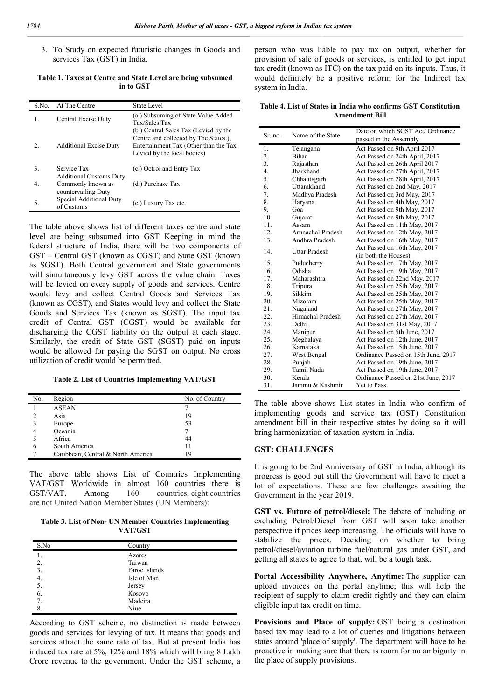3. To Study on expected futuristic changes in Goods and services Tax (GST) in India.

**Table 1. Taxes at Centre and State Level are being subsumed in to GST**

| S.No. | At The Centre                                 | <b>State Level</b>                                                                                                                                     |
|-------|-----------------------------------------------|--------------------------------------------------------------------------------------------------------------------------------------------------------|
| 1.    | Central Excise Duty                           | (a.) Subsuming of State Value Added<br>Tax/Sales Tax                                                                                                   |
| 2.    | <b>Additional Excise Duty</b>                 | (b.) Central Sales Tax (Levied by the<br>Centre and collected by The States.),<br>Entertainment Tax (Other than the Tax<br>Levied by the local bodies) |
| 3.    | Service Tax<br><b>Additional Customs Duty</b> | (c.) Octroi and Entry Tax                                                                                                                              |
| 4.    | Commonly known as<br>countervailing Duty      | (d.) Purchase Tax                                                                                                                                      |
| 5.    | Special Additional Duty<br>of Customs         | (e.) Luxury Tax etc.                                                                                                                                   |

The table above shows list of different taxes centre and state level are being subsumed into GST Keeping in mind the federal structure of India, there will be two components of GST – Central GST (known as CGST) and State GST (known as SGST). Both Central government and State governments will simultaneously levy GST across the value chain. Taxes will be levied on every supply of goods and services. Centre would levy and collect Central Goods and Services Tax (known as CGST), and States would levy and collect the State Goods and Services Tax (known as SGST). The input tax credit of Central GST (CGST) would be available for discharging the CGST liability on the output at each stage. Similarly, the credit of State GST (SGST) paid on inputs would be allowed for paying the SGST on output. No cross utilization of credit would be permitted.

**Table 2. List of Countries Implementing VAT/GST**

| No. | Region                             | No. of Country |
|-----|------------------------------------|----------------|
|     | <b>ASEAN</b>                       |                |
|     | Asia                               | 19             |
| 3   | Europe                             | 53             |
| 4   | Oceania                            |                |
|     | Africa                             | 44             |
| 6   | South America                      | 11             |
|     | Caribbean, Central & North America | 19             |

The above table shows List of Countries Implementing VAT/GST Worldwide in almost 160 countries there is GST/VAT. Among 160 countries, eight countries are not United Nation Member States (UN Members):

**Table 3. List of Non- UN Member Countries Implementing VAT/GST**

| S.No | Country       |
|------|---------------|
|      | Azores        |
| 2.   | Taiwan        |
| 3.   | Faroe Islands |
| 4.   | Isle of Man   |
| 5.   | Jersey        |
| 6.   | Kosovo        |
| 7    | Madeira       |
| 8.   | Niue          |

According to GST scheme, no distinction is made between goods and services for levying of tax. It means that goods and services attract the same rate of tax. But at present India has induced tax rate at 5%, 12% and 18% which will bring 8 Lakh Crore revenue to the government. Under the GST scheme, a person who was liable to pay tax on output, whether for provision of sale of goods or services, is entitled to get input tax credit (known as ITC) on the tax paid on its inputs. Thus, it would definitely be a positive reform for the Indirect tax system in India.

**Table 4. List of States in India who confirms GST Constitution Amendment Bill**

| Sr. no.          | Name of the State | Date on which SGST Act/ Ordinance<br>passed in the Assembly |  |
|------------------|-------------------|-------------------------------------------------------------|--|
| 1.               | Telangana         | Act Passed on 9th April 2017                                |  |
| $\overline{2}$ . | <b>Bihar</b>      | Act Passed on 24th April, 2017                              |  |
| 3.               | Rajasthan         | Act Passed on 26th April 2017                               |  |
| 4.               | Jharkhand         | Act Passed on 27th April, 2017                              |  |
| 5.               | Chhattisgarh      | Act Passed on 28th April, 2017                              |  |
| 6.               | Uttarakhand       | Act Passed on 2nd May, 2017                                 |  |
| 7.               | Madhya Pradesh    | Act Passed on 3rd May, 2017                                 |  |
| 8.               | Haryana           | Act Passed on 4th May, 2017                                 |  |
| 9.               | Goa               | Act Passed on 9th May, 2017                                 |  |
| 10.              | Gujarat           | Act Passed on 9th May, 2017                                 |  |
| 11.              | Assam             | Act Passed on 11th May, 2017                                |  |
| 12.              | Arunachal Pradesh | Act Passed on 12th May, 2017                                |  |
| 13.              | Andhra Pradesh    | Act Passed on 16th May, 2017                                |  |
| 14.              | Uttar Pradesh     | Act Passed on 16th May, 2017<br>(in both the Houses)        |  |
| 15.              | Puducherry        | Act Passed on 17th May, 2017                                |  |
| 16.              | Odisha            | Act Passed on 19th May, 2017                                |  |
| 17 <sub>1</sub>  | Maharashtra       | Act Passed on 22nd May, 2017                                |  |
| 18.              | Tripura           | Act Passed on 25th May, 2017                                |  |
| 19.              | Sikkim            | Act Passed on 25th May, 2017                                |  |
| 20.              | Mizoram           | Act Passed on 25th May, 2017                                |  |
| 21.              | Nagaland          | Act Passed on 27th May, 2017                                |  |
| 22.              | Himachal Pradesh  | Act Passed on 27th May, 2017                                |  |
| 23.              | Delhi             | Act Passed on 31st May, 2017                                |  |
| 24.              | Manipur           | Act Passed on 5th June, 2017                                |  |
| 25.              | Meghalaya         | Act Passed on 12th June, 2017                               |  |
| 26.              | Karnataka         | Act Passed on 15th June, 2017                               |  |
| 27.              | West Bengal       | Ordinance Passed on 15th June, 2017                         |  |
| 28.              | Punjab            | Act Passed on 19th June, 2017                               |  |
| 29.              | Tamil Nadu        | Act Passed on 19th June, 2017                               |  |
| 30.              | Kerala            | Ordinance Passed on 21st June, 2017                         |  |
| 31.              | Jammu & Kashmir   | Yet to Pass                                                 |  |

The table above shows List states in India who confirm of implementing goods and service tax (GST) Constitution amendment bill in their respective states by doing so it will bring harmonization of taxation system in India.

#### **GST: CHALLENGES**

It is going to be 2nd Anniversary of GST in India, although its progress is good but still the Government will have to meet a lot of expectations. These are few challenges awaiting the Government in the year 2019.

**GST vs. Future of petrol/diesel:** The debate of including or excluding Petrol/Diesel from GST will soon take another perspective if prices keep increasing. The officials will have to stabilize the prices. Deciding on whether to bring petrol/diesel/aviation turbine fuel/natural gas under GST, and getting all states to agree to that, will be a tough task.

**Portal Accessibility Anywhere, Anytime:** The supplier can upload invoices on the portal anytime; this will help the recipient of supply to claim credit rightly and they can claim eligible input tax credit on time.

**Provisions and Place of supply:** GST being a destination based tax may lead to a lot of queries and litigations between states around 'place of supply'. The department will have to be proactive in making sure that there is room for no ambiguity in the place of supply provisions.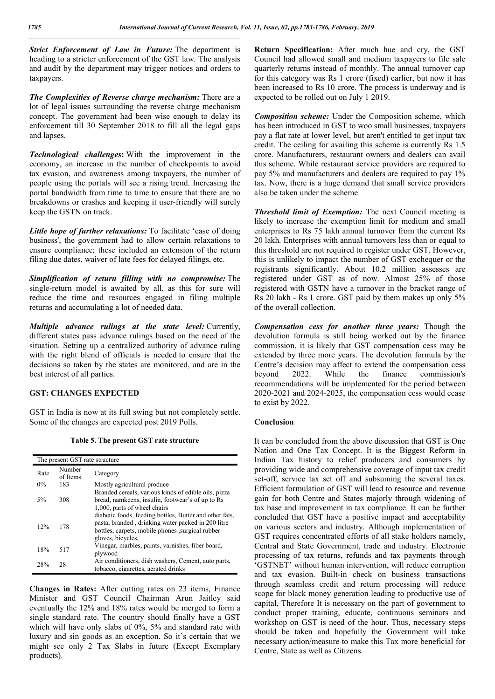*Strict Enforcement of Law in Future:* The department is heading to a stricter enforcement of the GST law. The analysis and audit by the department may trigger notices and orders to taxpayers.

*The Complexities of Reverse charge mechanism:* There are a lot of legal issues surrounding the reverse charge mechanism concept. The government had been wise enough to delay its enforcement till 30 September 2018 to fill all the legal gaps and lapses.

*Technological challenges***:** With the improvement in the economy, an increase in the number of checkpoints to avoid tax evasion, and awareness among taxpayers, the number of people using the portals will see a rising trend. Increasing the portal bandwidth from time to time to ensure that there are no breakdowns or crashes and keeping it user-friendly will surely keep the GSTN on track.

*Little hope of further relaxations:* To facilitate 'ease of doing business', the government had to allow certain relaxations to ensure compliance; these included an extension of the return filing due dates, waiver of late fees for delayed filings, etc.

*Simplification of return filling with no compromise:* The single-return model is awaited by all, as this for sure will reduce the time and resources engaged in filing multiple returns and accumulating a lot of needed data.

*Multiple advance rulings at the state level:* Currently, different states pass advance rulings based on the need of the situation. Setting up a centralized authority of advance ruling with the right blend of officials is needed to ensure that the decisions so taken by the states are monitored, and are in the best interest of all parties.

#### **GST: CHANGES EXPECTED**

GST in India is now at its full swing but not completely settle. Some of the changes are expected post 2019 Polls.

**Table 5. The present GST rate structure**

| The present GST rate structure |                    |                                                                                                                                                                                         |  |  |
|--------------------------------|--------------------|-----------------------------------------------------------------------------------------------------------------------------------------------------------------------------------------|--|--|
| Rate                           | Number<br>of Items | Category                                                                                                                                                                                |  |  |
| $0\%$                          | 183                | Mostly agricultural produce                                                                                                                                                             |  |  |
| 5%                             | 308                | Branded cereals, various kinds of edible oils, pizza<br>bread, namkeens, insulin, footwear's of up to Rs<br>1,000, parts of wheel chairs                                                |  |  |
| 12%                            | 178                | diabetic foods, feeding bottles, Butter and other fats,<br>pasta, branded, drinking water packed in 200 litre<br>bottles, carpets, mobile phones , surgical rubber<br>gloves, bicycles, |  |  |
| 18%                            | 517                | Vinegar, marbles, paints, varnishes, fiber board,<br>plywood                                                                                                                            |  |  |
| 28%                            | 28                 | Air conditioners, dish washers, Cement, auto parts,<br>tobacco, cigarettes, aerated drinks                                                                                              |  |  |

**Changes in Rates:** After cutting rates on 23 items, Finance Minister and GST Council Chairman Arun Jaitley said eventually the 12% and 18% rates would be merged to form a single standard rate. The country should finally have a GST which will have only slabs of 0%, 5% and standard rate with luxury and sin goods as an exception. So it's certain that we might see only 2 Tax Slabs in future (Except Exemplary products).

**Return Specification:** After much hue and cry, the GST Council had allowed small and medium taxpayers to file sale quarterly returns instead of monthly. The annual turnover cap for this category was Rs 1 crore (fixed) earlier, but now it has been increased to Rs 10 crore. The process is underway and is expected to be rolled out on July 1 2019.

*Composition scheme:* Under the Composition scheme, which has been introduced in GST to woo small businesses, taxpayers pay a flat rate at lower level, but aren't entitled to get input tax credit. The ceiling for availing this scheme is currently Rs 1.5 crore. Manufacturers, restaurant owners and dealers can avail this scheme. While restaurant service providers are required to pay 5% and manufacturers and dealers are required to pay 1% tax. Now, there is a huge demand that small service providers also be taken under the scheme.

*Threshold limit of Exemption:* The next Council meeting is likely to increase the exemption limit for medium and small enterprises to Rs 75 lakh annual turnover from the current Rs 20 lakh. Enterprises with annual turnovers less than or equal to this threshold are not required to register under GST. However, this is unlikely to impact the number of GST exchequer or the registrants significantly. About 10.2 million assesses are registered under GST as of now. Almost 25% of those registered with GSTN have a turnover in the bracket range of Rs 20 lakh - Rs 1 crore. GST paid by them makes up only 5% of the overall collection.

*Compensation cess for another three years:* Though the devolution formula is still being worked out by the finance commission, it is likely that GST compensation cess may be extended by three more years. The devolution formula by the Centre's decision may affect to extend the compensation cess<br>beyond 2022. While the finance commission's beyond 2022. While the finance commission's recommendations will be implemented for the period between 2020-2021 and 2024-2025, the compensation cess would cease to exist by 2022.

#### **Conclusion**

It can be concluded from the above discussion that GST is One Nation and One Tax Concept. It is the Biggest Reform in Indian Tax history to relief producers and consumers by providing wide and comprehensive coverage of input tax credit set-off, service tax set off and subsuming the several taxes. Efficient formulation of GST will lead to resource and revenue gain for both Centre and States majorly through widening of tax base and improvement in tax compliance. It can be further concluded that GST have a positive impact and acceptability on various sectors and industry. Although implementation of GST requires concentrated efforts of all stake holders namely, Central and State Government, trade and industry. Electronic processing of tax returns, refunds and tax payments through 'GSTNET' without human intervention, will reduce corruption and tax evasion. Built-in check on business transactions through seamless credit and return processing will reduce scope for black money generation leading to productive use of capital, Therefore It is necessary on the part of government to conduct proper training, educate, continuous seminars and workshop on GST is need of the hour. Thus, necessary steps should be taken and hopefully the Government will take necessary action/measure to make this Tax more beneficial for Centre, State as well as Citizens.